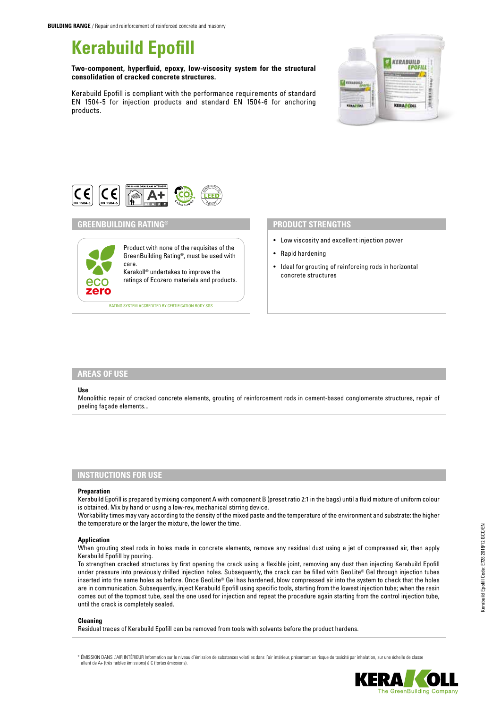# **Kerabuild Epofill**

**Two-component, hyperfluid, epoxy, low-viscosity system for the structural consolidation of cracked concrete structures.**

Kerabuild Epofill is compliant with the performance requirements of standard EN 1504-5 for injection products and standard EN 1504-6 for anchoring products.





# **GREENBUILDING RATING®** Product with none of the requisites of the GreenBuilding Rating®, must be used with care. Kerakoll® undertakes to improve the ratings of Ecozero materials and products. ecc zero RATING SYSTEM ACCREDITED BY CERTIFICATION BODY SGS

# **PRODUCT STRENGTHS**

- Low viscosity and excellent injection power
- Rapid hardening
- Ideal for grouting of reinforcing rods in horizontal concrete structures

### **AREAS OF USE**

#### **Use**

Monolithic repair of cracked concrete elements, grouting of reinforcement rods in cement-based conglomerate structures, repair of peeling façade elements...

## **INSTRUCTIONS FOR USE**

#### **Preparation**

Kerabuild Epofill is prepared by mixing component A with component B (preset ratio 2:1 in the bags) until a fluid mixture of uniform colour is obtained. Mix by hand or using a low-rev, mechanical stirring device.

Workability times may vary according to the density of the mixed paste and the temperature of the environment and substrate: the higher the temperature or the larger the mixture, the lower the time.

#### **Application**

When grouting steel rods in holes made in concrete elements, remove any residual dust using a jet of compressed air, then apply Kerabuild Epofill by pouring.

To strengthen cracked structures by first opening the crack using a flexible joint, removing any dust then injecting Kerabuild Epofill under pressure into previously drilled injection holes. Subsequently, the crack can be filled with GeoLite® Gel through injection tubes inserted into the same holes as before. Once GeoLite® Gel has hardened, blow compressed air into the system to check that the holes are in communication. Subsequently, inject Kerabuild Epofill using specific tools, starting from the lowest injection tube; when the resin comes out of the topmost tube, seal the one used for injection and repeat the procedure again starting from the control injection tube, until the crack is completely sealed.

## **Cleaning**

Residual traces of Kerabuild Epofill can be removed from tools with solvents before the product hardens.

\* ÉMISSION DANS L'AIR INTÉRIEUR Information sur le niveau d'émission de substances volatiles dans l'air intérieur, présentant un risque de toxicité par inhalation, sur une échelle de classe allant de A+ (très faibles émissions) à C (fortes émissions).



he GreenBuilding Compar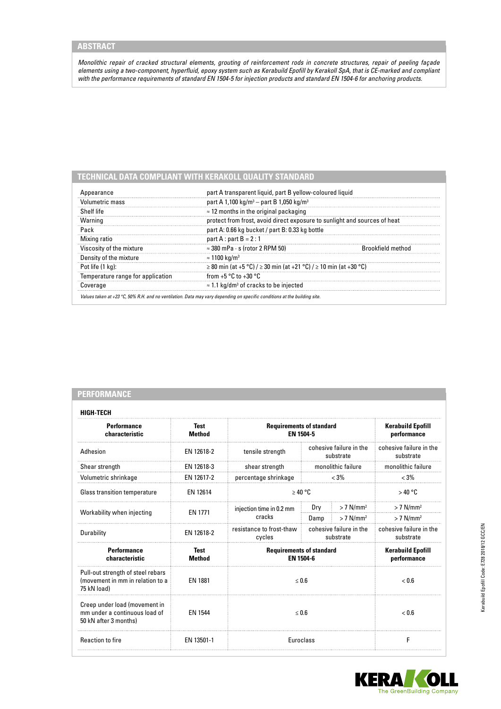*Monolithic repair of cracked structural elements, grouting of reinforcement rods in concrete structures, repair of peeling façade elements using a two-component, hyperfluid, epoxy system such as Kerabuild Epofill by Kerakoll SpA, that is CE-marked and compliant with the performance requirements of standard EN 1504-5 for injection products and standard EN 1504-6 for anchoring products.*

# **TECHNICAL DATA COMPLIANT WITH KERAKOLL QUALITY STANDARD**

| pearance                          | part A transparent liquid, part B yellow-coloured liquid                  |  |  |  |  |
|-----------------------------------|---------------------------------------------------------------------------|--|--|--|--|
| Volumetric mass                   | part A 1,100 kg/m <sup>3</sup> – part B 1,050 kg/m <sup>3</sup>           |  |  |  |  |
| Shelf life                        | $\approx$ 12 months in the original packaging                             |  |  |  |  |
| Warning                           | protect from frost, avoid direct exposure to sunlight and sources of heat |  |  |  |  |
| Pack                              | part A: 0.66 kg bucket / part B: 0.33 kg bottle                           |  |  |  |  |
| Mixing ratio                      | part A : part $B = 2:1$                                                   |  |  |  |  |
| Viscosity of the mixture          | $\approx$ 380 mPa $\cdot$ s (rotor 2 RPM 50)<br>rooktield method          |  |  |  |  |
| Density of the mixture            | $\approx 1100~\rm{ka/m^3}$                                                |  |  |  |  |
| Pot life (1 ka):                  | ≥ 80 min (at +5 °C) / ≥ 30 min (at +21 °C) / ≥ 10 min (at +30 °C)         |  |  |  |  |
| Temperature range for application | from $+5$ °C to $+30$ °C                                                  |  |  |  |  |
| Coverage                          | $\approx$ 1.1 kg/dm <sup>3</sup> of cracks to be injected                 |  |  |  |  |

| <b>PERFORMANCE</b> |  |  |  |  |  |
|--------------------|--|--|--|--|--|
|                    |  |  |  |  |  |
|                    |  |  |  |  |  |

| HIGH-TECH                                                                               |                              |                                                                            |                                      |                                      |                                         |  |
|-----------------------------------------------------------------------------------------|------------------------------|----------------------------------------------------------------------------|--------------------------------------|--------------------------------------|-----------------------------------------|--|
| <b>Performance</b><br>characteristic                                                    | Test<br><b>Method</b>        | <b>Requirements of standard</b><br>EN 1504-5                               |                                      |                                      | <b>Kerabuild Epofill</b><br>performance |  |
| Adhesion                                                                                | EN 12618-2                   | tensile strength                                                           | cohesive failure in the<br>substrate |                                      | cohesive failure in the<br>substrate    |  |
| Shear strength                                                                          | EN 12618-3                   | shear strength                                                             | monolithic failure                   |                                      | monolithic failure                      |  |
| Volumetric shrinkage                                                                    | EN 12617-2                   | percentage shrinkage                                                       | $< 3\%$                              |                                      | $< 3\%$                                 |  |
| Glass transition temperature                                                            | EN 12614                     | $\geq 40$ °C                                                               |                                      |                                      | >40 °C                                  |  |
| Workability when injecting                                                              | <b>EN 1771</b>               | injection time in 0.2 mm<br>cracks                                         | Dry                                  | $> 7$ N/mm <sup>2</sup>              | $> 7$ N/mm <sup>2</sup>                 |  |
|                                                                                         |                              |                                                                            | Damp                                 | $> 7$ N/mm <sup>2</sup>              | $> 7$ N/mm <sup>2</sup>                 |  |
| Durability                                                                              | EN 12618-2                   | resistance to frost-thaw<br>cohesive failure in the<br>cycles<br>substrate |                                      | cohesive failure in the<br>substrate |                                         |  |
| <b>Performance</b><br>characteristic                                                    | <b>Test</b><br><b>Method</b> | <b>Requirements of standard</b><br>FN 1504-6                               |                                      |                                      | <b>Kerabuild Epofill</b><br>performance |  |
| Pull-out strength of steel rebars<br>(movement in mm in relation to a<br>75 kN load)    | EN 1881                      | $\leq 0.6$                                                                 |                                      |                                      | ${}_{<}0.6$                             |  |
| Creep under load (movement in<br>mm under a continuous load of<br>50 kN after 3 months) | EN 1544                      | $\leq 0.6$                                                                 |                                      |                                      | ${}_{<}0.6$                             |  |
| <b>Reaction to fire</b>                                                                 | EN 13501-1                   | <b>Euroclass</b>                                                           |                                      |                                      | F                                       |  |